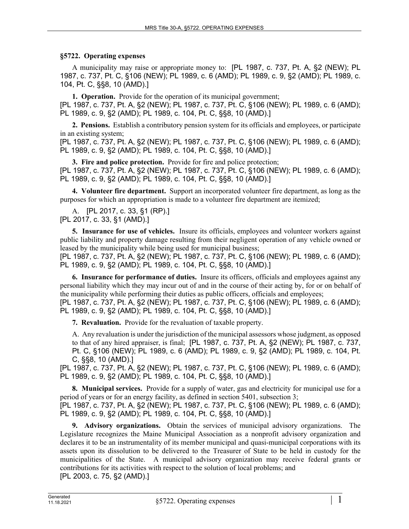## **§5722. Operating expenses**

A municipality may raise or appropriate money to: [PL 1987, c. 737, Pt. A, §2 (NEW); PL 1987, c. 737, Pt. C, §106 (NEW); PL 1989, c. 6 (AMD); PL 1989, c. 9, §2 (AMD); PL 1989, c. 104, Pt. C, §§8, 10 (AMD).]

**1. Operation.** Provide for the operation of its municipal government; [PL 1987, c. 737, Pt. A, §2 (NEW); PL 1987, c. 737, Pt. C, §106 (NEW); PL 1989, c. 6 (AMD); PL 1989, c. 9, §2 (AMD); PL 1989, c. 104, Pt. C, §§8, 10 (AMD).]

**2. Pensions.** Establish a contributory pension system for its officials and employees, or participate in an existing system;

[PL 1987, c. 737, Pt. A, §2 (NEW); PL 1987, c. 737, Pt. C, §106 (NEW); PL 1989, c. 6 (AMD); PL 1989, c. 9, §2 (AMD); PL 1989, c. 104, Pt. C, §§8, 10 (AMD).]

**3. Fire and police protection.** Provide for fire and police protection; [PL 1987, c. 737, Pt. A, §2 (NEW); PL 1987, c. 737, Pt. C, §106 (NEW); PL 1989, c. 6 (AMD); PL 1989, c. 9, §2 (AMD); PL 1989, c. 104, Pt. C, §§8, 10 (AMD).]

**4. Volunteer fire department.** Support an incorporated volunteer fire department, as long as the purposes for which an appropriation is made to a volunteer fire department are itemized;

A. [PL 2017, c. 33, §1 (RP).] [PL 2017, c. 33, §1 (AMD).]

**5. Insurance for use of vehicles.** Insure its officials, employees and volunteer workers against public liability and property damage resulting from their negligent operation of any vehicle owned or leased by the municipality while being used for municipal business;

[PL 1987, c. 737, Pt. A, §2 (NEW); PL 1987, c. 737, Pt. C, §106 (NEW); PL 1989, c. 6 (AMD); PL 1989, c. 9, §2 (AMD); PL 1989, c. 104, Pt. C, §§8, 10 (AMD).]

**6. Insurance for performance of duties.** Insure its officers, officials and employees against any personal liability which they may incur out of and in the course of their acting by, for or on behalf of the municipality while performing their duties as public officers, officials and employees;

[PL 1987, c. 737, Pt. A, §2 (NEW); PL 1987, c. 737, Pt. C, §106 (NEW); PL 1989, c. 6 (AMD); PL 1989, c. 9, §2 (AMD); PL 1989, c. 104, Pt. C, §§8, 10 (AMD).]

**7. Revaluation.** Provide for the revaluation of taxable property.

A. Any revaluation is under the jurisdiction of the municipal assessors whose judgment, as opposed to that of any hired appraiser, is final; [PL 1987, c. 737, Pt. A, §2 (NEW); PL 1987, c. 737, Pt. C, §106 (NEW); PL 1989, c. 6 (AMD); PL 1989, c. 9, §2 (AMD); PL 1989, c. 104, Pt. C, §§8, 10 (AMD).]

[PL 1987, c. 737, Pt. A, §2 (NEW); PL 1987, c. 737, Pt. C, §106 (NEW); PL 1989, c. 6 (AMD); PL 1989, c. 9, §2 (AMD); PL 1989, c. 104, Pt. C, §§8, 10 (AMD).]

**8. Municipal services.** Provide for a supply of water, gas and electricity for municipal use for a period of years or for an energy facility, as defined in section 5401, subsection 3;

[PL 1987, c. 737, Pt. A, §2 (NEW); PL 1987, c. 737, Pt. C, §106 (NEW); PL 1989, c. 6 (AMD); PL 1989, c. 9, §2 (AMD); PL 1989, c. 104, Pt. C, §§8, 10 (AMD).]

**9. Advisory organizations.** Obtain the services of municipal advisory organizations. The Legislature recognizes the Maine Municipal Association as a nonprofit advisory organization and declares it to be an instrumentality of its member municipal and quasi-municipal corporations with its assets upon its dissolution to be delivered to the Treasurer of State to be held in custody for the municipalities of the State. A municipal advisory organization may receive federal grants or contributions for its activities with respect to the solution of local problems; and [PL 2003, c. 75, §2 (AMD).]